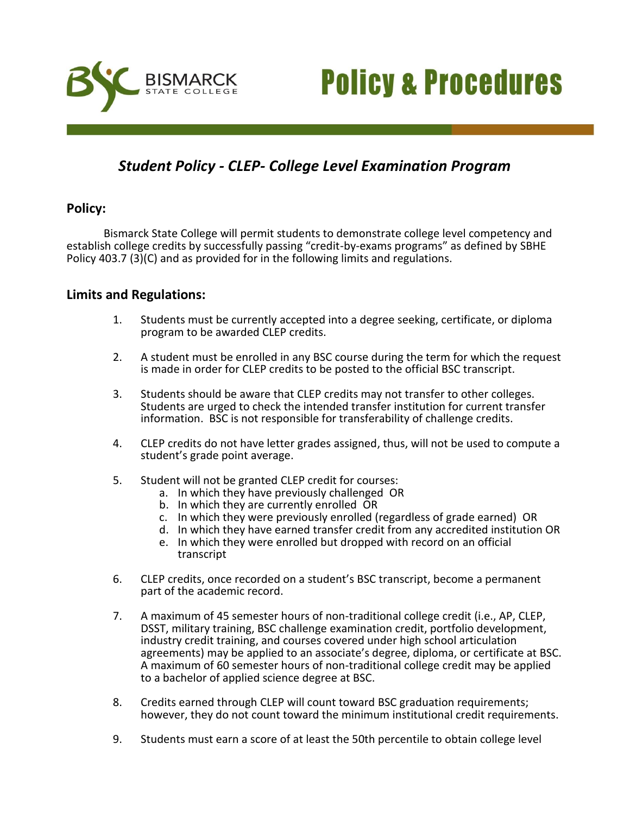



# *Student Policy - CLEP- College Level Examination Program*

## **Policy:**

Bismarck State College will permit students to demonstrate college level competency and establish college credits by successfully passing "credit-by-exams programs" as defined by SBHE Policy 403.7 (3)(C) and as provided for in the following limits and regulations.

### **Limits and Regulations:**

- 1. Students must be currently accepted into a degree seeking, certificate, or diploma program to be awarded CLEP credits.
- 2. A student must be enrolled in any BSC course during the term for which the request is made in order for CLEP credits to be posted to the official BSC transcript.
- 3. Students should be aware that CLEP credits may not transfer to other colleges. Students are urged to check the intended transfer institution for current transfer information. BSC is not responsible for transferability of challenge credits.
- 4. CLEP credits do not have letter grades assigned, thus, will not be used to compute a student's grade point average.
- 5. Student will not be granted CLEP credit for courses:
	- a. In which they have previously challenged OR
	- b. In which they are currently enrolled OR
	- c. In which they were previously enrolled (regardless of grade earned) OR
	- d. In which they have earned transfer credit from any accredited institution OR
	- e. In which they were enrolled but dropped with record on an official transcript
- 6. CLEP credits, once recorded on a student's BSC transcript, become a permanent part of the academic record.
- 7. A maximum of 45 semester hours of non-traditional college credit (i.e., AP, CLEP, DSST, military training, BSC challenge examination credit, portfolio development, industry credit training, and courses covered under high school articulation agreements) may be applied to an associate's degree, diploma, or certificate at BSC. A maximum of 60 semester hours of non-traditional college credit may be applied to a bachelor of applied science degree at BSC.
- 8. Credits earned through CLEP will count toward BSC graduation requirements; however, they do not count toward the minimum institutional credit requirements.
- 9. Students must earn a score of at least the 50th percentile to obtain college level